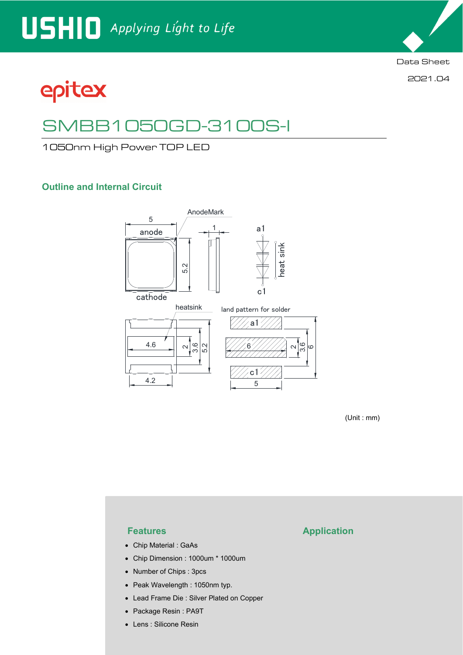2021.04

# epitex

## SMBB1050GD-3100S-I

1050nm High Power TOP LED

### **Outline and Internal Circuit**



(Unit : mm)

- Chip Material : GaAs
- Chip Dimension : 1000um \* 1000um
- Number of Chips : 3pcs
- Peak Wavelength : 1050nm typ.
- Lead Frame Die : Silver Plated on Copper
- Package Resin : PA9T
- Lens : Silicone Resin

### **Features Application**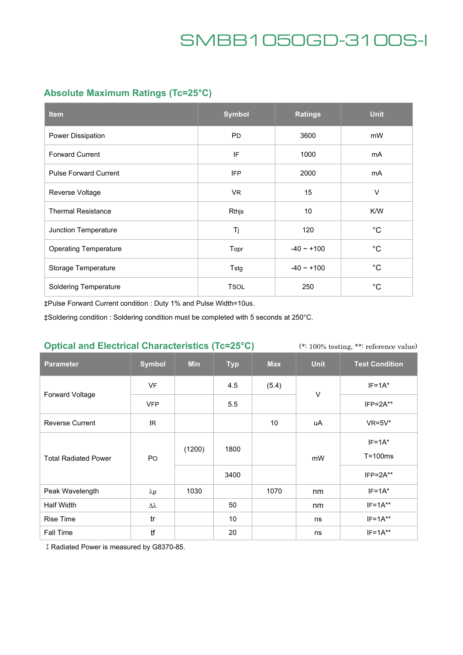### **Absolute Maximum Ratings (Tc=25°C)**

| <b>Item</b>                  | <b>Symbol</b> | <b>Ratings</b>  | <b>Unit</b>  |
|------------------------------|---------------|-----------------|--------------|
| Power Dissipation            | <b>PD</b>     | 3600            | mW           |
| <b>Forward Current</b>       | IF            | 1000            | mA           |
| <b>Pulse Forward Current</b> | <b>IFP</b>    | 2000            | mA           |
| Reverse Voltage              | <b>VR</b>     | 15              | $\vee$       |
| <b>Thermal Resistance</b>    | Rthjs         | 10 <sup>°</sup> | K/W          |
| Junction Temperature         | Tj            | 120             | $^{\circ}$ C |
| <b>Operating Temperature</b> | Topr          | $-40 \sim +100$ | $^{\circ}C$  |
| Storage Temperature          | Tstg          | $-40 - +100$    | $^{\circ}$ C |
| <b>Soldering Temperature</b> | <b>TSOL</b>   | 250             | $^{\circ}$ C |

‡Pulse Forward Current condition : Duty 1% and Pulse Width=10us.

‡Soldering condition : Soldering condition must be completed with 5 seconds at 250°C.

### **Optical and Electrical Characteristics (Tc=25°C)**

(\*: 100% testing, \*\*: reference value)

| <b>Parameter</b>            | <b>Symbol</b> | <b>Min</b> | <b>Typ</b> | <b>Max</b> | <b>Unit</b> | <b>Test Condition</b>     |
|-----------------------------|---------------|------------|------------|------------|-------------|---------------------------|
| <b>Forward Voltage</b>      | <b>VF</b>     |            | 4.5        | (5.4)      | $\vee$      | $IF=1A^*$                 |
|                             | <b>VFP</b>    |            | 5.5        |            |             | $IFP = 2A**$              |
| <b>Reverse Current</b>      | IR.           |            |            | 10         | uA          | $VR=5V^*$                 |
| <b>Total Radiated Power</b> | <b>PO</b>     | (1200)     | 1800       |            | mW          | $IF=1A^*$<br>$T = 100$ ms |
|                             |               |            | 3400       |            |             | $IFP = 2A**$              |
| Peak Wavelength             | $\lambda p$   | 1030       |            | 1070       | nm          | $IF=1A*$                  |
| Half Width                  | Δλ            |            | 50         |            | nm          | $IF=1A**$                 |
| <b>Rise Time</b>            | tr            |            | 10         |            | ns          | $IF=1A**$                 |
| Fall Time                   | tf            |            | 20         |            | ns          | $IF=1A**$                 |

‡Radiated Power is measured by G8370-85.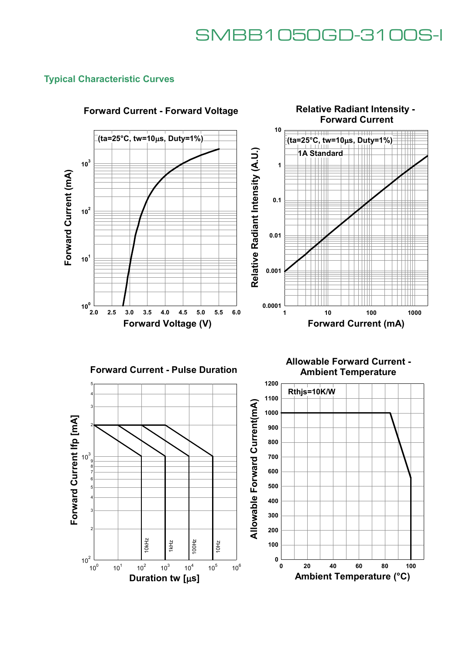### **Typical Characteristic Curves**



### **Forward Current - Pulse Duration**

5

4 3 Forward Current Ifp [mA] **Forward Current Ifp [mA]** 2  $10^3$ <sub>9</sub> 8 7 6 5 4 3 2  $\frac{1}{2}$   $\frac{1}{2}$   $\frac{1}{2}$   $\frac{1}{2}$   $\frac{1}{2}$   $\frac{1}{2}$   $\frac{1}{2}$   $\frac{1}{2}$   $\frac{1}{2}$   $\frac{1}{2}$   $\frac{1}{2}$   $\frac{1}{2}$   $\frac{1}{2}$   $\frac{1}{2}$   $\frac{1}{2}$   $\frac{1}{2}$   $\frac{1}{2}$   $\frac{1}{2}$   $\frac{1}{2}$   $\frac{1}{2}$   $\frac{1}{2}$   $\frac{1}{2}$  10Hz  $10<sup>2</sup>$  $10^{0}$  $10^{2}$  $10^3$  $10^4$  $10^5$  $10^6$  $10^{1}$ 

**Ambient Temperature**

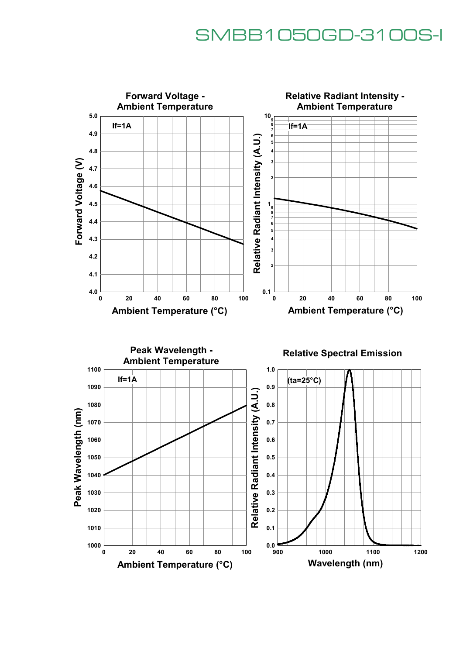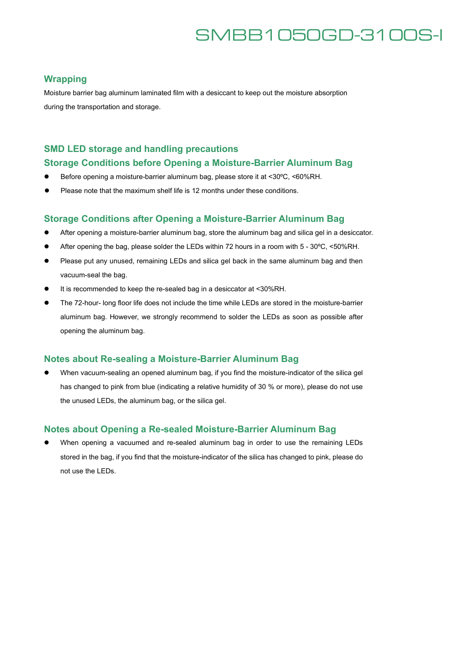#### **Wrapping**

Moisture barrier bag aluminum laminated film with a desiccant to keep out the moisture absorption during the transportation and storage.

### **SMD LED storage and handling precautions**

#### **Storage Conditions before Opening a Moisture-Barrier Aluminum Bag**

- Before opening a moisture-barrier aluminum bag, please store it at <30°C, <60%RH.
- Please note that the maximum shelf life is 12 months under these conditions.

#### **Storage Conditions after Opening a Moisture-Barrier Aluminum Bag**

- After opening a moisture-barrier aluminum bag, store the aluminum bag and silica gel in a desiccator.
- After opening the bag, please solder the LEDs within 72 hours in a room with 5 30°C, <50%RH.
- Please put any unused, remaining LEDs and silica gel back in the same aluminum bag and then vacuum-seal the bag.
- It is recommended to keep the re-sealed bag in a desiccator at <30%RH.
- The 72-hour- long floor life does not include the time while LEDs are stored in the moisture-barrier aluminum bag. However, we strongly recommend to solder the LEDs as soon as possible after opening the aluminum bag.

#### **Notes about Re-sealing a Moisture-Barrier Aluminum Bag**

 When vacuum-sealing an opened aluminum bag, if you find the moisture-indicator of the silica gel has changed to pink from blue (indicating a relative humidity of 30 % or more), please do not use the unused LEDs, the aluminum bag, or the silica gel.

#### **Notes about Opening a Re-sealed Moisture-Barrier Aluminum Bag**

 When opening a vacuumed and re-sealed aluminum bag in order to use the remaining LEDs stored in the bag, if you find that the moisture-indicator of the silica has changed to pink, please do not use the LEDs.